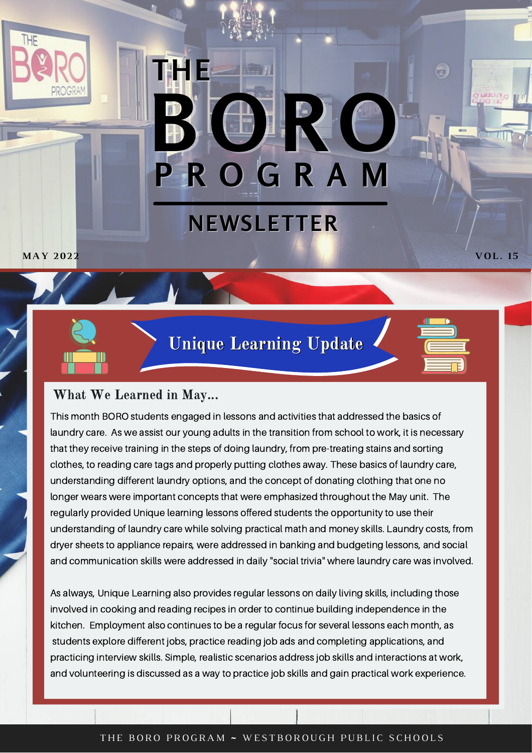# **P R O G R A M B O R O NEWSLETTER THE**

**MAY 202 2 VOL. 15**

Unique Learning Update



**US** 

### What We Learned in May...

This month BORO students engaged in lessons and activities that addressed the basics of laundry care. As we assist our young adults in the transition from school to work, it is necessary that they receive training in the steps of doing laundry, from pre-treating stains and sorting clothes, to reading care tags and properly putting clothes away. These basics of laundry care, understanding different laundry options, and the concept of donating clothing that one no longer wears were important concepts that were emphasized throughout the May unit. The regularly provided Unique learning lessons offered students the opportunity to use their understanding of laundry care while solving practical math and money skills. Laundry costs, from dryer sheets to appliance repairs, were addressed in banking and budgeting lessons, and social and communication skills were addressed in daily "social trivia" where laundry care was involved.

As always, Unique Learning also provides regular lessons on daily living skills, including those involved in cooking and reading recipes in order to continue building independence in the kitchen. Employment also continues to be a regular focus for several lessons each month, as students explore different jobs, practice reading job ads and completing applications, and practicing interview skills. Simple, realistic scenarios address job skills and interactions at work, and volunteering is discussed as a way to practice job skills and gain practical work experience.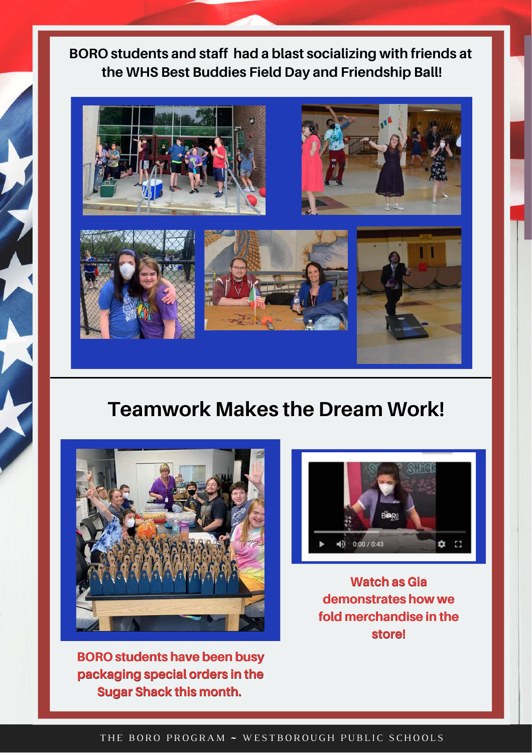## **BORO students and staff had a blast socializing with friends at the WHS Best Buddies Field Day and Friendship Ball!**



# **Teamwork Makes the Dream Work!**



**BORO students have been busy packaging special orders in the Sugar Shack this month.**



**Watch as Gia demonstrates how we fold merchandise in the store!**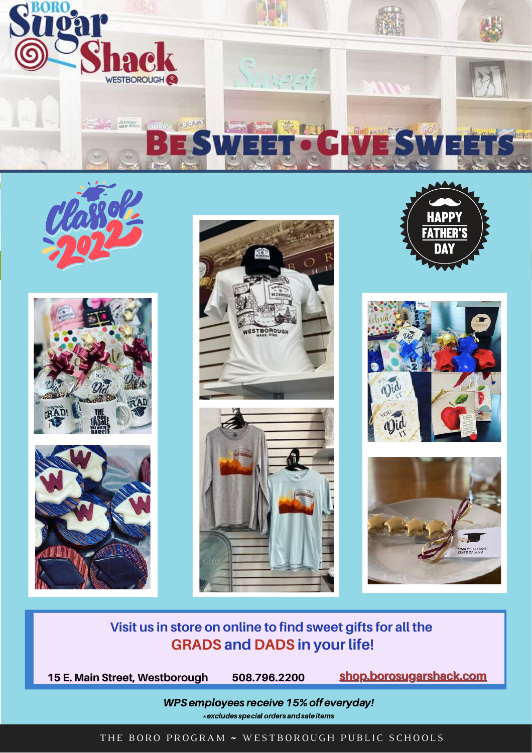



## **Visit us in store on online to find sweet gifts for all the GRADS and DADS in your life!**

**508.796.2200**

**15 E. Main Street, Westborough [shop.borosugarshack.com](https://shop.borosugarshack.com/)**

WPS employees receive 15% off everyday! \*excludes special orders andsale items

THE BORO PROGRAM ~ WESTBOROUGH PUBLIC SCHOOLS